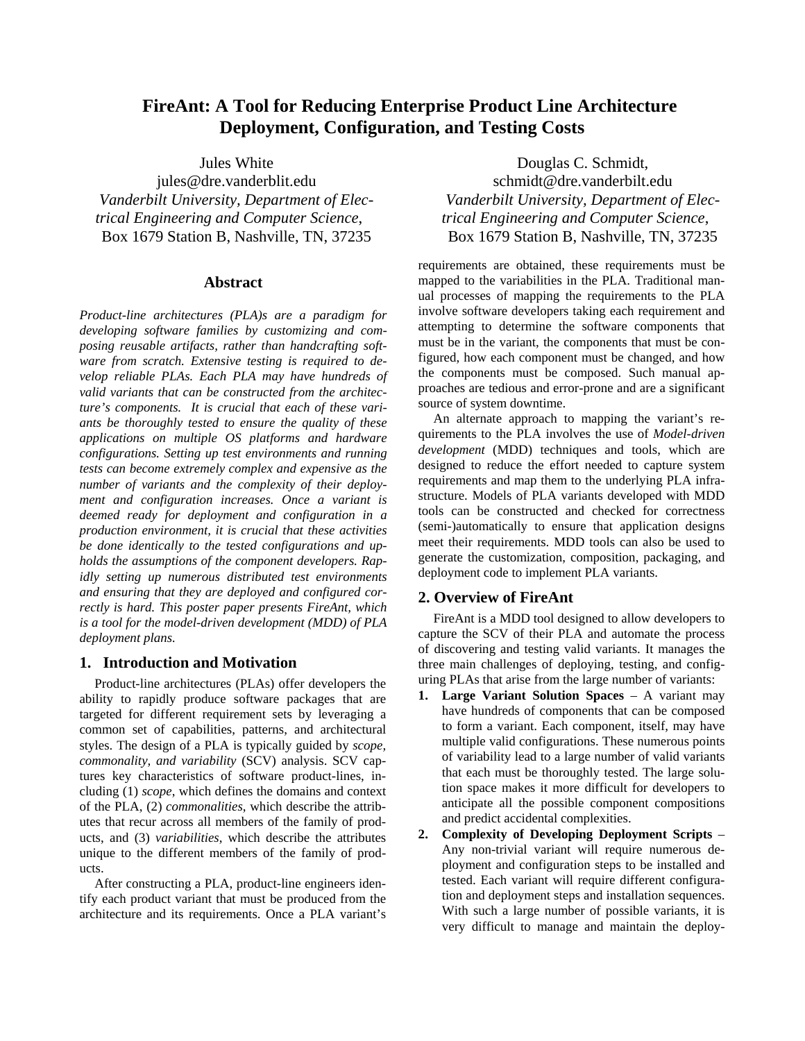# **FireAnt: A Tool for Reducing Enterprise Product Line Architecture Deployment, Configuration, and Testing Costs**

Jules White

jules@dre.vanderblit.edu *Vanderbilt University, Department of Electrical Engineering and Computer Science*, Box 1679 Station B, Nashville, TN, 37235

## **Abstract**

*Product-line architectures (PLA)s are a paradigm for developing software families by customizing and composing reusable artifacts, rather than handcrafting software from scratch. Extensive testing is required to develop reliable PLAs. Each PLA may have hundreds of valid variants that can be constructed from the architecture's components. It is crucial that each of these variants be thoroughly tested to ensure the quality of these applications on multiple OS platforms and hardware configurations. Setting up test environments and running tests can become extremely complex and expensive as the number of variants and the complexity of their deployment and configuration increases. Once a variant is deemed ready for deployment and configuration in a production environment, it is crucial that these activities be done identically to the tested configurations and upholds the assumptions of the component developers. Rapidly setting up numerous distributed test environments and ensuring that they are deployed and configured correctly is hard. This poster paper presents FireAnt, which is a tool for the model-driven development (MDD) of PLA deployment plans.*

#### **1. Introduction and Motivation**

Product-line architectures (PLAs) offer developers the ability to rapidly produce software packages that are targeted for different requirement sets by leveraging a common set of capabilities, patterns, and architectural styles. The design of a PLA is typically guided by *scope, commonality, and variability* (SCV) analysis. SCV captures key characteristics of software product-lines, including (1) *scope*, which defines the domains and context of the PLA, (2) *commonalities*, which describe the attributes that recur across all members of the family of products, and (3) *variabilities*, which describe the attributes unique to the different members of the family of products.

After constructing a PLA, product-line engineers identify each product variant that must be produced from the architecture and its requirements. Once a PLA variant's

Douglas C. Schmidt, schmidt@dre.vanderbilt.edu *Vanderbilt University, Department of Electrical Engineering and Computer Science*, Box 1679 Station B, Nashville, TN, 37235

requirements are obtained, these requirements must be mapped to the variabilities in the PLA. Traditional manual processes of mapping the requirements to the PLA involve software developers taking each requirement and attempting to determine the software components that must be in the variant, the components that must be configured, how each component must be changed, and how the components must be composed. Such manual approaches are tedious and error-prone and are a significant source of system downtime.

An alternate approach to mapping the variant's requirements to the PLA involves the use of *Model-driven development* (MDD) techniques and tools, which are designed to reduce the effort needed to capture system requirements and map them to the underlying PLA infrastructure. Models of PLA variants developed with MDD tools can be constructed and checked for correctness (semi-)automatically to ensure that application designs meet their requirements. MDD tools can also be used to generate the customization, composition, packaging, and deployment code to implement PLA variants.

## **2. Overview of FireAnt**

FireAnt is a MDD tool designed to allow developers to capture the SCV of their PLA and automate the process of discovering and testing valid variants. It manages the three main challenges of deploying, testing, and configuring PLAs that arise from the large number of variants:

- **1. Large Variant Solution Spaces** A variant may have hundreds of components that can be composed to form a variant. Each component, itself, may have multiple valid configurations. These numerous points of variability lead to a large number of valid variants that each must be thoroughly tested. The large solution space makes it more difficult for developers to anticipate all the possible component compositions and predict accidental complexities.
- **2. Complexity of Developing Deployment Scripts**  Any non-trivial variant will require numerous deployment and configuration steps to be installed and tested. Each variant will require different configuration and deployment steps and installation sequences. With such a large number of possible variants, it is very difficult to manage and maintain the deploy-